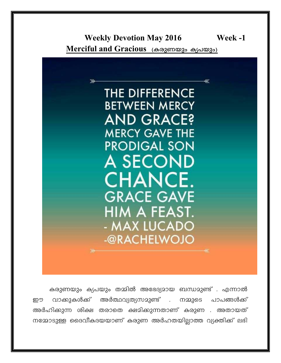**Weekly Devotion May 2016** Week -1 Merciful and Gracious (കരുണയും ക്യപയും)



കരുണയും ക്യപയും തമ്മിൽ അഭേദ്യമായ ബന്ധമുണ്ട് . എന്നാൽ വാക്കുകൾക്ക് അർത്ഥവ്യത്യസമുണ്ട്  $\mathbb{R}^{\mathbb{Z}^2}$ നമ്മുടെ പാപങ്ങൾക്ക് ഈ അർഹിക്കുന്ന ശിക്ഷ തരാതെ ക്ഷമിക്കുന്നതാണ് കരുണ . അതായത് നമ്മോടുള്ള ദൈവീകദയയാണ് കരുണ അർഹതയില്ലാത്ത വ്യക്തിക്ക് ലഭി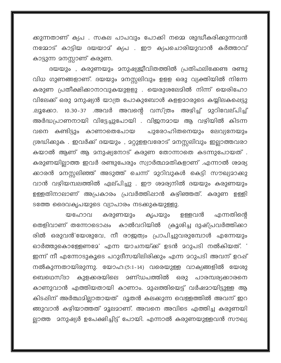ക്കുന്നതാണ് ക്യപ . സകല പാപവും പോക്കി നമ്മെ ശുദ്ധീകരിക്കുന്നവൻ നമ്മോട് കാട്ടിയ ദയയാമ് ക്യപ . ഈ ക്യപചൊരിയുവാൻ കർത്താവ് കാട്ടുന്ന മനസ്സാണ് കരുണ.

വിധ ഗുണങ്ങളാണ്. ദയയും മനസ്സലിവും ഉളള ഒരു വ്യക്തിയിൽ നിന്നേ കരുണ പ്രതീക്ഷിക്കാനാവുകയുളളു . യെരുശലേമിൽ നിന്ന് യെരിഹോ വിലേക്ക് ഒരു മനുഷ്യൻ യാത്ര പോകുബോൾ കളളമാരുടെ കയ്യിലകപ്പെട്ടു .ലൂക്കോ. 10.30-37 .അവർ അവന്റെ വസ്ത്രം അഴിച്ച് മുറിവേല്പിച്ച് അർദ്ധപ്രാണനായി വിട്ടേച്ചുപോയി . വിജനമായ ആ വഴിയിൽ കിടന്ന വനെ കണ്ടിട്ടും കാണാതെപോയ പുരോഹിതനെയും ലേവ്യനേയും ശ്രദ്ധിക്കുക . ഇവർക്ക് ദയയും , മറ്റുളളവരോട് മനസ്സലിവും ഇല്ലാത്തവരാ കയാൽ ആണ് ആ മനുഷ്യനോട് കരുണ തോന്നാതെ കടന്നുപോയത്. കരുണയില്ലാത്ത ഇവർ രണ്ടുപേരും സ്വാർത്ഥമതികളാണ് .എന്നാൽ ശമര്യ ക്കാരൻ മനസ്സലിഞ്ഞ് അടുത്ത് ചെന്ന് മുറിവുകൾ കെട്ടി സൗഖ്യമാക്കു വാൻ വഴിയമ്പലത്തിൽ ഏല്പിച്ചു . ഈ ശമര്യനിൽ ദയയും കരുണയും ഉള്ളതിനാലാണ് അപ്രകാരം പ്രവർത്തിഷാൻ കഴിഞ്ഞത്. കരുണ ഉള്ളി ടത്തേ ദൈവകൃപയുടെ വ്യാപാരം നടക്കുകയുള്ളു.

എന്നതിന്റെ കൃപയും യഹോവ കരുണയും ഉള്ളവൻ തെളിവാണ് തന്നോടൊഷം കാൽവറിയിൽ ക്രൂശിച്ച ദുഷ്പ്രവർത്തിക്കാ രിൽ ഒരുവൻ'യേശുവേ, നീ രാജത്വം പ്രാപിച്ചുവരുമ്പോൾ എന്നേയും ഓർത്തുകൊള്ളേണമേ' എന്ന യാചനയ്ക്ക് ഉടൻ മറുപടി നൽകിയത്. ' ഇന്ന് നീ എന്നോടുകൂടെ പറുദീസയിലിരിക്കും എന്ന മറുപടി അവന് ഉറഷ് നൽകുന്നതായിരുന്നു. യോഹ:(5:1-14) വരെയുള്ള വാക്യങ്ങളിൽ യേശു ബെഥെസ്ദാ ഒരു പാരമ്പര്യക്കാരനെ കാണുവാൻ എത്തിയതായി കാണാം. മുഷത്തിയെട്ട് വർഷമായിട്ടുള്ള ആ കിടപ്പിന് അർത്ഥമില്ലാതായത് ദൂതൻ കലക്കുന്ന വെള്ളത്തിൽ അവന് ഇറ ങ്ങുവാൻ കഴിയാത്തത് മൂലമാണ്. അവനെ അവിടെ എത്തിച്ച കരുണയി ല്ലാത്ത മനുഷ്യർ ഉപേക്ഷിച്ചിട്ട് പോയി. എന്നാൽ കരുണയുള്ളവൻ സൗഖ്യ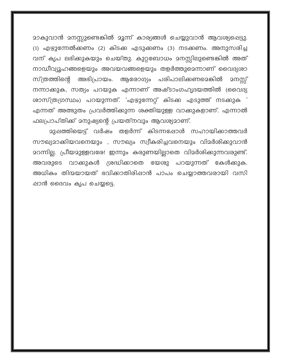മാകുവാൻ മനസ്സുണ്ടെങ്കിൽ മൂന്ന് കാര്യങ്ങൾ ചെയ്യുവാൻ ആവശ്യപ്പെട്ടു. (1) എഴുന്നേൽക്കണം (2) കിടക്ക എടുക്കണം (3) നടക്കണം. അനുസരിച്ച വന് കൃപ ലഭിക്കുകയും ചെയ്തു. കുറ്റബോധം മനസ്സിലുണ്ടെങ്കിൽ അത് നാഡീവ്യൂഹങ്ങളെയും അവയവങ്ങളെയും തളർത്തുമെന്നാണ് വൈദ്യശാ സ്ത്രത്തിന്റെ അഭിപ്രായം. ആരോഗ്യം പരിപാലിക്കണമെങ്കിൽ മനസ്സ് നന്നാക്കുക, സത്യം പറയുക എന്നാണ് അഷ്ടാംഗഹൃദയത്തിൽ (വൈദ്യ ശാസ്ത്രഗ്രസ്ഥം) പറയുന്നത്. 'എഴുന്നേറ്റ് കിടക്ക എടുത്ത് നടക്കുക ' എന്നത് അത്ഭുതം പ്രവർത്തിക്കുന്ന ശക്തിയുള്ള വാക്കുകളാണ്. എന്നാൽ ഫലപ്രാപ്തിക്ക് മനുഷ്യന്റെ പ്രയത്നവും ആവശ്യമാണ്.

മുഷത്തിയെട്ട് വർഷം തളർന്ന് കിടന്നപ്പോൾ സഹായിക്കാത്തവർ സൗഖ്യമാക്കിയവനെയും , സൗഖ്യം സ്വീകരിച്ചവനെയും വിമർശിക്കുവാൻ മറന്നില്ല. പ്രീയമുള്ളവരേ! ഇന്നും കരുണയില്ലാതെ വിമർശിക്കുന്നവരുണ്ട്. അവരുടെ വാക്കുകൾ ശ്രദ്ധിക്കാതെ യേശു പറയുന്നത് കേൾക്കുക. അധികം തിന്മയായത് ഭവിക്കാതിരിപ്പാൻ പാപം ചെയ്യാത്തവരായി വസി ഷാൻ ദൈവം കൃപ ചെയ്യട്ടെ.